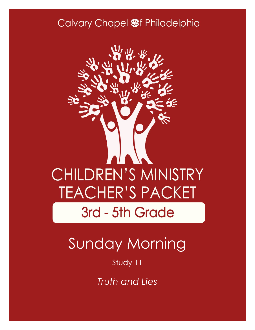## Calvary Chapel @f Philadelphia



# Sunday Morning

## Study 11

*Truth and Lies*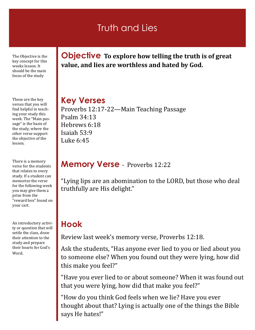## Truth and Lies

The Objective is the key concept for this weeks lesson. It should be the main focus of the study

These are the key verses that you will find helpful in teaching your study this week. The "Main passage" is the basis of the study, where the other verse support the objective of the lesson.

There is a memory verse for the students that relates to every study. If a student can memorize the verse for the following week you may give them a prize from the "reward box" found on your cart.

An introductory activity or question that will settle the class, draw their attention to the study and prepare their hearts for God's Word.

**Objective To explore how telling the truth is of great value, and lies are worthless and hated by God.** 

### **Key Verses**

Proverbs 12:17-22—Main Teaching Passage Psalm 34:13 Hebrews 6:18 Isaiah 53:9 Luke 6:45

### **Memory Verse** - Proverbs 12:22

"Lying lips are an abomination to the LORD, but those who deal truthfully are His delight."

## **Hook**

Review last week's memory verse, Proverbs 12:18.

Ask the students, "Has anyone ever lied to you or lied about you to someone else? When you found out they were lying, how did this make you feel?"

"Have you ever lied to or about someone? When it was found out that you were lying, how did that make you feel?"

"How do you think God feels when we lie? Have you ever thought about that? Lying is actually one of the things the Bible says He hates!"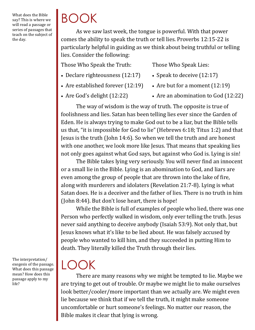What does the Bible say? This is where we will read a passage or series of passages that teach on the subject of the day.

# BOOK

As we saw last week, the tongue is powerful. With that power comes the ability to speak the truth or tell lies. Proverbs 12:15-22 is particularly helpful in guiding as we think about being truthful or telling lies. Consider the following:

Those Who Speak the Truth:

Those Who Speak Lies:

- Declare righteousness (12:17)
- Are established forever (12:19)
- Are God's delight (12:22)
- Speak to deceive (12:17)
- Are but for a moment (12:19)
- Are an abomination to God (12:22)

The way of wisdom is the way of truth. The opposite is true of foolishness and lies. Satan has been telling lies ever since the Garden of Eden. He is always trying to make God out to be a liar, but the Bible tells us that, "it is impossible for God to lie" (Hebrews 6:18; Titus 1:2) and that Jesus is the truth (John 14:6). So when we tell the truth and are honest with one another, we look more like Jesus. That means that speaking lies not only goes against what God says, but against who God is. Lying is sin!

The Bible takes lying very seriously. You will never find an innocent or a small lie in the Bible. Lying is an abomination to God, and liars are even among the group of people that are thrown into the lake of fire, along with murderers and idolaters (Revelation 21:7-8). Lying is what Satan does. He is a deceiver and the father of lies. There is no truth in him (John 8:44). But don't lose heart, there is hope!

While the Bible is full of examples of people who lied, there was one Person who perfectly walked in wisdom, only ever telling the truth. Jesus never said anything to deceive anybody (Isaiah 53:9). Not only that, but Jesus knows what it's like to be lied about. He was falsely accused by people who wanted to kill him, and they succeeded in putting Him to death. They literally killed the Truth through their lies.

# LOOK

There are many reasons why we might be tempted to lie. Maybe we are trying to get out of trouble. Or maybe we might lie to make ourselves look better/cooler/more important than we actually are. We might even lie because we think that if we tell the truth, it might make someone uncomfortable or hurt someone's feelings. No matter our reason, the Bible makes it clear that lying is wrong.

The interpretation/ exegesis of the passage. What does this passage mean? How does this passage apply to my life?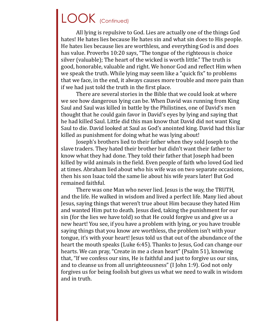## LOOK (Continued)

All lying is repulsive to God. Lies are actually one of the things God hates! He hates lies because He hates sin and what sin does to His people. He hates lies because lies are worthless, and everything God is and does has value. Proverbs 10:20 says, "The tongue of the righteous is choice silver (valuable); The heart of the wicked is worth little." The truth is good, honorable, valuable and right. We honor God and reflect Him when we speak the truth. While lying may seem like a "quick fix" to problems that we face, in the end, it always causes more trouble and more pain than if we had just told the truth in the first place.

There are several stories in the Bible that we could look at where we see how dangerous lying can be. When David was running from King Saul and Saul was killed in battle by the Philistines, one of David's men thought that he could gain favor in David's eyes by lying and saying that he had killed Saul. Little did this man know that David did not want King Saul to die. David looked at Saul as God's anointed king. David had this liar killed as punishment for doing what he was lying about!

Joseph's brothers lied to their father when they sold Joseph to the slave traders. They hated their brother but didn't want their father to know what they had done. They told their father that Joseph had been killed by wild animals in the field. Even people of faith who loved God lied at times. Abraham lied about who his wife was on two separate occasions, then his son Isaac told the same lie about his wife years later! But God remained faithful.

There was one Man who never lied. Jesus is the way, the TRUTH, and the life. He walked in wisdom and lived a perfect life. Many lied about Jesus, saying things that weren't true about Him because they hated Him and wanted Him put to death. Jesus died, taking the punishment for our sin (for the lies we have told) so that He could forgive us and give us a new heart! You see, if you have a problem with lying, or you have trouble saying things that you know are worthless, the problem isn't with your tongue, it's with your heart! Jesus told us that out of the abundance of the heart the mouth speaks (Luke 6:45). Thanks to Jesus, God can change our hearts. We can pray, "Create in me a clean heart" (Psalm 51), knowing that, "If we confess our sins, He is faithful and just to forgive us our sins, and to cleanse us from all unrighteousness" (I John 1:9). God not only forgives us for being foolish but gives us what we need to walk in wisdom and in truth.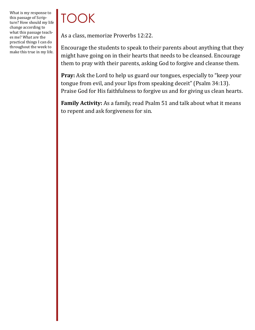What is my response to this passage of Scripture? How should my life change according to what this passage teaches me? What are the practical things I can do throughout the week to make this true in my life.

# TOOK

As a class, memorize Proverbs 12:22.

Encourage the students to speak to their parents about anything that they might have going on in their hearts that needs to be cleansed. Encourage them to pray with their parents, asking God to forgive and cleanse them.

**Pray:** Ask the Lord to help us guard our tongues, especially to "keep your tongue from evil, and your lips from speaking deceit" (Psalm 34:13). Praise God for His faithfulness to forgive us and for giving us clean hearts.

**Family Activity:** As a family, read Psalm 51 and talk about what it means to repent and ask forgiveness for sin.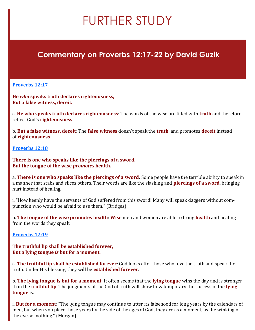## FURTHER STUDY

## **Commentary on Proverbs 12:17-22 by David Guzik**

### **[Proverbs 12:17](https://www.blueletterbible.org/kjv/proverbs/12/17/s_640017)**

**He** *who* **speaks truth declares righteousness, But a false witness, deceit.**

a. **He who speaks truth declares righteousness**: The words of the wise are filled with **truth** and therefore reflect God's **righteousness**.

b. **But a false witness, deceit**: The **false witness** doesn't speak the **truth**, and promotes **deceit** instead of **righteousness**.

**[Proverbs 12:18](https://www.blueletterbible.org/kjv/proverbs/12/18/s_640018)**

**There is one who speaks like the piercings of a sword, But the tongue of the wise** *promotes* **health.**

a. **There is one who speaks like the piercings of a sword**: Some people have the terrible ability to speak in a manner that stabs and slices others. Their words are like the slashing and **piercings of a sword**, bringing hurt instead of healing.

i. "How keenly have the servants of God suffered from this sword! Many will speak daggers without compunction who would be afraid to use them." (Bridges)

b. **The tongue of the wise promotes health**: **Wise** men and women are able to bring **health** and healing from the words they speak.

**[Proverbs 12:19](https://www.blueletterbible.org/kjv/proverbs/12/19/s_640019)**

**The truthful lip shall be established forever, But a lying tongue** *is* **but for a moment.**

a. **The truthful lip shall be established forever**: God looks after those who love the truth and speak the truth. Under His blessing, they will be **established forever**.

b. **The lying tongue is but for a moment**: It often seems that the **lying tongue** wins the day and is stronger than the **truthful lip**. The judgments of the God of truth will show how temporary the success of the **lying tongue** is.

i. **But for a moment**: "The lying tongue may continue to utter its falsehood for long years by the calendars of men, but when you place those years by the side of the ages of God, they are as a moment, as the winking of the eye, as nothing." (Morgan)